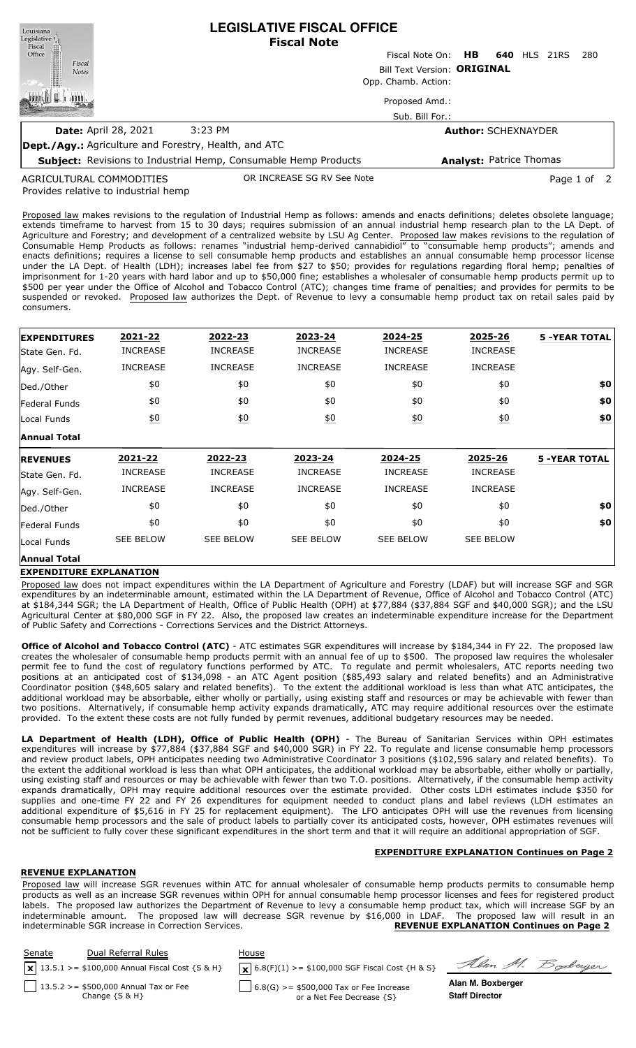| Louisiana<br>Legislative <sup>1</sup><br>Fiscal              | <b>LEGISLATIVE FISCAL OFFICE</b><br><b>Fiscal Note</b>                 |                 |                                |  |  |                     |             |  |
|--------------------------------------------------------------|------------------------------------------------------------------------|-----------------|--------------------------------|--|--|---------------------|-------------|--|
| Office                                                       |                                                                        | Fiscal Note On: | HB.                            |  |  | <b>640 HLS 21RS</b> | 280         |  |
| Fiscal<br><b>Notes</b>                                       | Bill Text Version: ORIGINAL                                            |                 |                                |  |  |                     |             |  |
|                                                              | Opp. Chamb. Action:                                                    |                 |                                |  |  |                     |             |  |
|                                                              |                                                                        | Proposed Amd.:  |                                |  |  |                     |             |  |
|                                                              |                                                                        | Sub. Bill For.: |                                |  |  |                     |             |  |
| <b>Date: April 28, 2021</b>                                  | 3:23 PM                                                                |                 | <b>Author: SCHEXNAYDER</b>     |  |  |                     |             |  |
| <b>Dept./Agy.:</b> Agriculture and Forestry, Health, and ATC |                                                                        |                 |                                |  |  |                     |             |  |
|                                                              | <b>Subject:</b> Revisions to Industrial Hemp, Consumable Hemp Products |                 | <b>Analyst: Patrice Thomas</b> |  |  |                     |             |  |
| AGRICULTURAL COMMODITIES                                     | OR INCREASE SG RV See Note                                             |                 |                                |  |  |                     | Page 1 of 2 |  |

Provides relative to industrial hemp AGRICULTURAL COMMODITIES

Proposed law makes revisions to the regulation of Industrial Hemp as follows: amends and enacts definitions; deletes obsolete language; extends timeframe to harvest from 15 to 30 days; requires submission of an annual industrial hemp research plan to the LA Dept. of Agriculture and Forestry; and development of a centralized website by LSU Ag Center. Proposed law makes revisions to the regulation of Consumable Hemp Products as follows: renames "industrial hemp-derived cannabidiol" to "consumable hemp products"; amends and enacts definitions; requires a license to sell consumable hemp products and establishes an annual consumable hemp processor license under the LA Dept. of Health (LDH); increases label fee from \$27 to \$50; provides for regulations regarding floral hemp; penalties of imprisonment for 1-20 years with hard labor and up to \$50,000 fine; establishes a wholesaler of consumable hemp products permit up to \$500 per year under the Office of Alcohol and Tobacco Control (ATC); changes time frame of penalties; and provides for permits to be suspended or revoked. Proposed law authorizes the Dept. of Revenue to levy a consumable hemp product tax on retail sales paid by consumers.

| <b>EXPENDITURES</b> | 2021-22           | 2022-23           | 2023-24          | 2024-25          | 2025-26          | <b>5 -YEAR TOTAL</b> |
|---------------------|-------------------|-------------------|------------------|------------------|------------------|----------------------|
| lState Gen. Fd.     | <b>INCREASE</b>   | <b>INCREASE</b>   | <b>INCREASE</b>  | <b>INCREASE</b>  | <b>INCREASE</b>  |                      |
| Agy. Self-Gen.      | <b>INCREASE</b>   | <b>INCREASE</b>   | <b>INCREASE</b>  | <b>INCREASE</b>  | <b>INCREASE</b>  |                      |
| Ded./Other          | \$0               | \$0               | \$0              | \$0              | \$0              | \$0                  |
| Federal Funds       | \$0               | \$0               | \$0              | \$0              | \$0              | \$0                  |
| Local Funds         | $\underline{\$0}$ | $\underline{\$0}$ | $\underline{50}$ | 60               | $\underline{50}$ | $\underline{\$0}$    |
| <b>Annual Total</b> |                   |                   |                  |                  |                  |                      |
| <b>REVENUES</b>     | 2021-22           | 2022-23           | 2023-24          | 2024-25          | 2025-26          | <b>5 -YEAR TOTAL</b> |
| State Gen. Fd.      |                   |                   |                  |                  |                  |                      |
|                     | <b>INCREASE</b>   | <b>INCREASE</b>   | <b>INCREASE</b>  | <b>INCREASE</b>  | <b>INCREASE</b>  |                      |
| Agy. Self-Gen.      | <b>INCREASE</b>   | <b>INCREASE</b>   | <b>INCREASE</b>  | <b>INCREASE</b>  | <b>INCREASE</b>  |                      |
| Ded./Other          | \$0               | \$0               | \$0              | \$0              | \$0              | \$0                  |
| Federal Funds       | \$0               | \$0               | \$0              | \$0              | \$0              | \$0                  |
| Local Funds         | <b>SEE BELOW</b>  | <b>SEE BELOW</b>  | SEE BELOW        | <b>SEE BELOW</b> | <b>SEE BELOW</b> |                      |

# **EXPENDITURE EXPLANATION**

Proposed law does not impact expenditures within the LA Department of Agriculture and Forestry (LDAF) but will increase SGF and SGR expenditures by an indeterminable amount, estimated within the LA Department of Revenue, Office of Alcohol and Tobacco Control (ATC) at \$184,344 SGR; the LA Department of Health, Office of Public Health (OPH) at \$77,884 (\$37,884 SGF and \$40,000 SGR); and the LSU Agricultural Center at \$80,000 SGF in FY 22. Also, the proposed law creates an indeterminable expenditure increase for the Department of Public Safety and Corrections - Corrections Services and the District Attorneys.

**Office of Alcohol and Tobacco Control (ATC)** - ATC estimates SGR expenditures will increase by \$184,344 in FY 22. The proposed law creates the wholesaler of consumable hemp products permit with an annual fee of up to \$500. The proposed law requires the wholesaler permit fee to fund the cost of regulatory functions performed by ATC. To regulate and permit wholesalers, ATC reports needing two positions at an anticipated cost of \$134,098 - an ATC Agent position (\$85,493 salary and related benefits) and an Administrative Coordinator position (\$48,605 salary and related benefits). To the extent the additional workload is less than what ATC anticipates, the additional workload may be absorbable, either wholly or partially, using existing staff and resources or may be achievable with fewer than two positions. Alternatively, if consumable hemp activity expands dramatically, ATC may require additional resources over the estimate provided. To the extent these costs are not fully funded by permit revenues, additional budgetary resources may be needed.

**LA Department of Health (LDH), Office of Public Health (OPH)** - The Bureau of Sanitarian Services within OPH estimates expenditures will increase by \$77,884 (\$37,884 SGF and \$40,000 SGR) in FY 22. To regulate and license consumable hemp processors and review product labels, OPH anticipates needing two Administrative Coordinator 3 positions (\$102,596 salary and related benefits). To the extent the additional workload is less than what OPH anticipates, the additional workload may be absorbable, either wholly or partially, using existing staff and resources or may be achievable with fewer than two T.O. positions. Alternatively, if the consumable hemp activity expands dramatically, OPH may require additional resources over the estimate provided. Other costs LDH estimates include \$350 for supplies and one-time FY 22 and FY 26 expenditures for equipment needed to conduct plans and label reviews (LDH estimates an additional expenditure of \$5,616 in FY 25 for replacement equipment). The LFO anticipates OPH will use the revenues from licensing consumable hemp processors and the sale of product labels to partially cover its anticipated costs, however, OPH estimates revenues will not be sufficient to fully cover these significant expenditures in the short term and that it will require an additional appropriation of SGF.

# **EXPENDITURE EXPLANATION Continues on Page 2**

### **REVENUE EXPLANATION**

Proposed law will increase SGR revenues within ATC for annual wholesaler of consumable hemp products permits to consumable hemp products as well as an increase SGR revenues within OPH for annual consumable hemp processor licenses and fees for registered product labels. The proposed law authorizes the Department of Revenue to levy a consumable hemp product tax, which will increase SGF by an indeterminable amount. The proposed law will decrease SGR revenue by \$16,000 in LDAF. The proposed law will result in an indeterminable SGR increase in Correction Services. **REVENUE EXPLANATION Continues on Page 2**

| <b>Senate</b> | Dual Referral Rules<br>$x$ 13.5.1 > = \$100,000 Annual Fiscal Cost {S & H} | House<br>$\mathbf{X}$ 6.8(F)(1) >= \$100,000 SGF Fiscal Cost {H & S} | Alan M. Boderger      |
|---------------|----------------------------------------------------------------------------|----------------------------------------------------------------------|-----------------------|
|               | 13.5.2 > = $$500,000$ Annual Tax or Fee                                    | $\frac{1}{2}$ 6.8(G) >= \$500,000 Tax or Fee Increase                | Alan M. Boxberger     |
|               | Change $\{S \& H\}$                                                        | or a Net Fee Decrease {S}                                            | <b>Staff Director</b> |